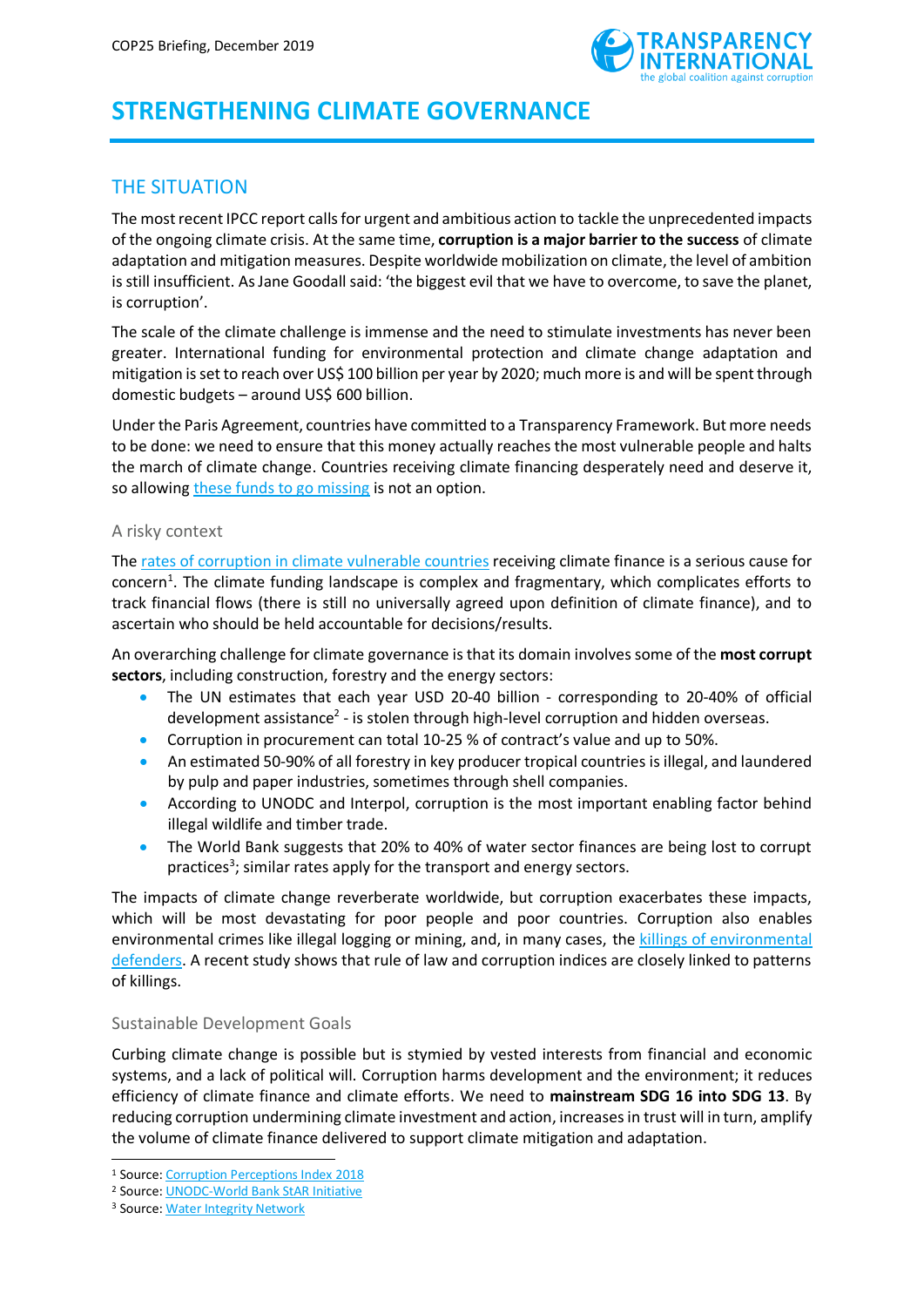

# **STRENGTHENING CLIMATE GOVERNANCE**

# THE SITUATION

The most recent IPCC report calls for urgent and ambitious action to tackle the unprecedented impacts of the ongoing climate crisis. At the same time, **corruption is a major barrier to the success** of climate adaptation and mitigation measures. Despite worldwide mobilization on climate, the level of ambition is still insufficient. As Jane Goodall said: 'the biggest evil that we have to overcome, to save the planet, is corruption'.

The scale of the climate challenge is immense and the need to stimulate investments has never been greater. International funding for environmental protection and climate change adaptation and mitigation is set to reach over US\$ 100 billion per year by 2020; much more is and will be spent through domestic budgets – around US\$ 600 billion.

Under the Paris Agreement, countries have committed to a Transparency Framework. But more needs to be done: we need to ensure that this money actually reaches the most vulnerable people and halts the march of climate change. Countries receiving climate financing desperately need and deserve it, so allowing these funds [to go missing](https://www.transparency.org/whatwedo/activity/climate_stories) is not an option.

### A risky context

The [rates of corruption in climate](http://www.transparency.org/news/feature/making_climate_money_work) vulnerable countries receiving climate finance is a serious cause for concern<sup>1</sup>. The climate funding landscape is complex and fragmentary, which complicates efforts to track financial flows (there is still no universally agreed upon definition of climate finance), and to ascertain who should be held accountable for decisions/results.

An overarching challenge for climate governance is that its domain involves some of the **most corrupt sectors**, including construction, forestry and the energy sectors:

- The UN estimates that each year USD 20-40 billion corresponding to 20-40% of official development assistance<sup>2</sup> - is stolen through high-level corruption and hidden overseas.
- Corruption in procurement can total 10-25 % of contract's value and up to 50%.
- An estimated 50-90% of all forestry in key producer tropical countries is illegal, and laundered by pulp and paper industries, sometimes through shell companies.
- According to UNODC and Interpol, corruption is the most important enabling factor behind illegal wildlife and timber trade.
- The World Bank suggests that 20% to 40% of water sector finances are being lost to corrupt practices<sup>3</sup>; similar rates apply for the transport and energy sectors.

The impacts of climate change reverberate worldwide, but corruption exacerbates these impacts, which will be most devastating for poor people and poor countries. Corruption also enables environmental crimes like illegal logging or mining, and, in many cases, the [killings of environmental](https://www.scientificamerican.com/article/environmental-activists-have-higher-death-rates-than-some-soldiers/)  [defenders.](https://www.scientificamerican.com/article/environmental-activists-have-higher-death-rates-than-some-soldiers/) A recent study shows that rule of law and corruption indices are closely linked to patterns of killings.

### Sustainable Development Goals

Curbing climate change is possible but is stymied by vested interests from financial and economic systems, and a lack of political will. Corruption harms development and the environment; it reduces efficiency of climate finance and climate efforts. We need to **mainstream SDG 16 into SDG 13**. By reducing corruption undermining climate investment and action, increases in trust will in turn, amplify the volume of climate finance delivered to support climate mitigation and adaptation.

<sup>-</sup><sup>1</sup> Source[: Corruption Perceptions Index](http://www.transparency.org/cpi2018) 2018

<sup>2</sup> Source[: UNODC-World Bank StAR Initiative](https://siteresources.worldbank.org/NEWS/Resources/Star-rep-full.pdf)

<sup>3</sup> Source[: Water Integrity Network](http://www.waterintegritynetwork.net/wp-content/uploads/2015/03/swh_policy_brief_water_sector.pdf)